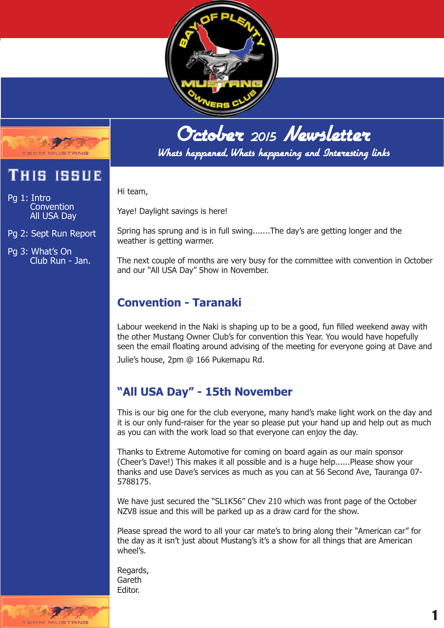



Whats happened, Whats happening and Interesting links

Hi team,

Yaye! Daylight savings is here!

Spring has sprung and is in full swing.......The day's are getting longer and the weather is getting warmer.

The next couple of months are very busy for the committee with convention in October and our "All USA Day" Show in November.

## **Convention - Taranaki**

Labour weekend in the Naki is shaping up to be a good, fun filled weekend away with the other Mustang Owner Club's for convention this Year. You would have hopefully seen the email floating around advising of the meeting for everyone going at Dave and Julie's house, 2pm @ 166 Pukemapu Rd.

# **"All USA Day" - 15th November**

This is our big one for the club everyone, many hand's make light work on the day and it is our only fund-raiser for the year so please put your hand up and help out as much as you can with the work load so that everyone can enjoy the day.

Thanks to Extreme Automotive for coming on board again as our main sponsor (Cheer's Dave!) This makes it all possible and is a huge help......Please show your thanks and use Dave's services as much as you can at 56 Second Ave, Tauranga 07- 5788175.

We have just secured the "SL1K56" Chev 210 which was front page of the October NZV8 issue and this will be parked up as a draw card for the show.

Please spread the word to all your car mate's to bring along their "American car" for the day as it isn't just about Mustang's it's a show for all things that are American wheel's.

Regards, Gareth Editor.





Pg 1: Intro **Convention** All USA Day

Pg 2: Sept Run Report

Pg 3: What's On Club Run - Jan.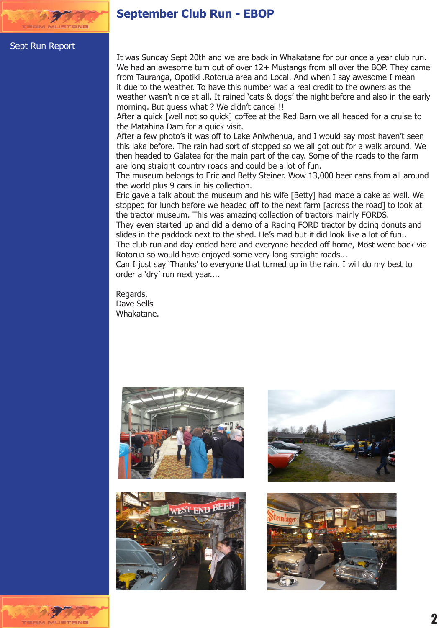

### **September Club Run - EBOP**

#### Sept Run Report

It was Sunday Sept 20th and we are back in Whakatane for our once a year club run. We had an awesome turn out of over 12+ Mustangs from all over the BOP. They came from Tauranga, Opotiki .Rotorua area and Local. And when I say awesome I mean it due to the weather. To have this number was a real credit to the owners as the weather wasn't nice at all. It rained 'cats & dogs' the night before and also in the early morning. But guess what ? We didn't cancel !!

After a quick [well not so quick] coffee at the Red Barn we all headed for a cruise to the Matahina Dam for a quick visit.

After a few photo's it was off to Lake Aniwhenua, and I would say most haven't seen this lake before. The rain had sort of stopped so we all got out for a walk around. We then headed to Galatea for the main part of the day. Some of the roads to the farm are long straight country roads and could be a lot of fun.

The museum belongs to Eric and Betty Steiner. Wow 13,000 beer cans from all around the world plus 9 cars in his collection.

Eric gave a talk about the museum and his wife [Betty] had made a cake as well. We stopped for lunch before we headed off to the next farm [across the road] to look at the tractor museum. This was amazing collection of tractors mainly FORDS.

They even started up and did a demo of a Racing FORD tractor by doing donuts and slides in the paddock next to the shed. He's mad but it did look like a lot of fun.. The club run and day ended here and everyone headed off home, Most went back via Rotorua so would have enjoyed some very long straight roads...

Can I just say 'Thanks' to everyone that turned up in the rain. I will do my best to order a 'dry' run next year....

Regards, Dave Sells Whakatane.